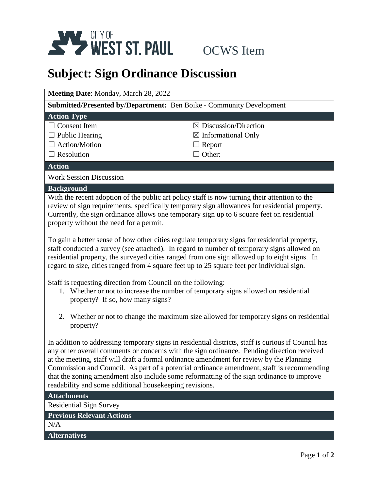

# **Subject: Sign Ordinance Discussion**

| Meeting Date: Monday, March 28, 2022                                                                                                                                                                                                                                                                                                    |                                  |  |
|-----------------------------------------------------------------------------------------------------------------------------------------------------------------------------------------------------------------------------------------------------------------------------------------------------------------------------------------|----------------------------------|--|
| <b>Submitted/Presented by/Department:</b> Ben Boike - Community Development                                                                                                                                                                                                                                                             |                                  |  |
| <b>Action Type</b>                                                                                                                                                                                                                                                                                                                      |                                  |  |
| <b>Consent</b> Item                                                                                                                                                                                                                                                                                                                     | $\boxtimes$ Discussion/Direction |  |
| $\Box$ Public Hearing                                                                                                                                                                                                                                                                                                                   | $\boxtimes$ Informational Only   |  |
| $\Box$ Action/Motion                                                                                                                                                                                                                                                                                                                    | Report                           |  |
| $\Box$ Resolution                                                                                                                                                                                                                                                                                                                       | Other:                           |  |
| <b>Action</b>                                                                                                                                                                                                                                                                                                                           |                                  |  |
| <b>Work Session Discussion</b>                                                                                                                                                                                                                                                                                                          |                                  |  |
| <b>Background</b>                                                                                                                                                                                                                                                                                                                       |                                  |  |
| With the recent adoption of the public art policy staff is now turning their attention to the<br>review of sign requirements, specifically temporary sign allowances for residential property.<br>Currently, the sign ordinance allows one temporary sign up to 6 square feet on residential<br>property without the need for a permit. |                                  |  |
| To gain a better sense of how other cities regulate temporary signs for residential property,<br>staff conducted a survey (see attached). In regard to number of temporary signs allowed on<br>residential property, the surveyed cities ranged from one sign allowed up to eight signs. In                                             |                                  |  |

regard to size, cities ranged from 4 square feet up to 25 square feet per individual sign.

Staff is requesting direction from Council on the following:

- 1. Whether or not to increase the number of temporary signs allowed on residential property? If so, how many signs?
- 2. Whether or not to change the maximum size allowed for temporary signs on residential property?

In addition to addressing temporary signs in residential districts, staff is curious if Council has any other overall comments or concerns with the sign ordinance. Pending direction received at the meeting, staff will draft a formal ordinance amendment for review by the Planning Commission and Council. As part of a potential ordinance amendment, staff is recommending that the zoning amendment also include some reformatting of the sign ordinance to improve readability and some additional housekeeping revisions.

## **Attachments**

Residential Sign Survey

#### **Previous Relevant Actions**

N/A

## **Alternatives**